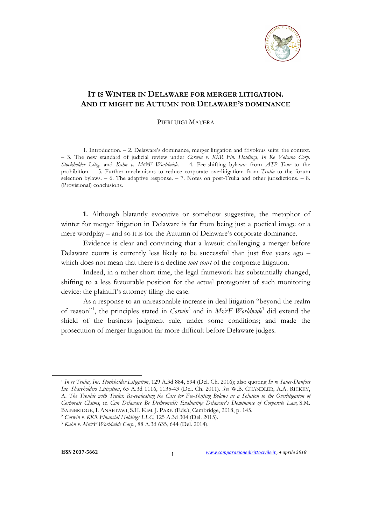

## **IT IS WINTER IN DELAWARE FOR MERGER LITIGATION. AND IT MIGHT BE AUTUMN FOR DELAWARE'S DOMINANCE**

## PIERLUIGI MATERA

1. Introduction. – 2. Delaware's dominance, merger litigation and frivolous suits: the context. – 3. The new standard of judicial review under *Corwin v. KKR Fin. Holdings*, *In Re Volcano Corp. Stockholder Litig*. and *Kahn v. M&F Worldwide*. – 4. Fee-shifting bylaws: from *ATP Tour* to the prohibition. – 5. Further mechanisms to reduce corporate overlitigation: from *Trulia* to the forum selection bylaws. – 6. The adaptive response. – 7. Notes on post-Trulia and other jurisdictions. – 8. (Provisional) conclusions.

**1.** Although blatantly evocative or somehow suggestive, the metaphor of winter for merger litigation in Delaware is far from being just a poetical image or a mere wordplay – and so it is for the Autumn of Delaware's corporate dominance.

Evidence is clear and convincing that a lawsuit challenging a merger before Delaware courts is currently less likely to be successful than just five years ago – which does not mean that there is a decline *tout court* of the corporate litigation.

Indeed, in a rather short time, the legal framework has substantially changed, shifting to a less favourable position for the actual protagonist of such monitoring device: the plaintiff's attorney filing the case.

As a response to an unreasonable increase in deal litigation "beyond the realm of reason<sup>"1</sup>, the principles stated in *Corwin*<sup>2</sup> and in *M&F Worldwide*<sup>3</sup> did extend the shield of the business judgment rule, under some conditions; and made the prosecution of merger litigation far more difficult before Delaware judges.

<sup>1</sup> *In re Trulia, Inc. Stockholder Litigation*, 129 A.3d 884, 894 (Del. Ch. 2016); also quoting *In re Sauer-Danfoss Inc. Shareholders Litigation*, 65 A.3d 1116, 1135-43 (Del. Ch. 2011). *See* W.B. CHANDLER, A.A. RICKEY, A. *The Trouble with Trulia: Re-evaluating the Case for Fee-Shifting Bylaws as a Solution to the Overlitigation of Corporate Claims*, in *Can Delaware Be Dethroned?: Evaluating Delaware's Dominance of Corporate Law*, S.M. BAINBRIDGE, I. ANABTAWI, S.H. KIM, J. PARK (Eds.), Cambridge, 2018, p. 145.

<sup>2</sup> *Corwin v. KKR Financial Holdings LLC*, 125 A.3d 304 (Del. 2015). 3 *Kahn v. M&F Worldwide Corp*., 88 A.3d 635, 644 (Del. 2014).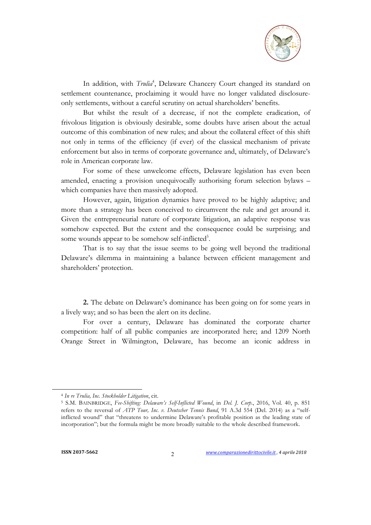

In addition, with *Trulia<sup>4</sup>*, Delaware Chancery Court changed its standard on settlement countenance, proclaiming it would have no longer validated disclosureonly settlements, without a careful scrutiny on actual shareholders' benefits.

But whilst the result of a decrease, if not the complete eradication, of frivolous litigation is obviously desirable, some doubts have arisen about the actual outcome of this combination of new rules; and about the collateral effect of this shift not only in terms of the efficiency (if ever) of the classical mechanism of private enforcement but also in terms of corporate governance and, ultimately, of Delaware's role in American corporate law.

For some of these unwelcome effects, Delaware legislation has even been amended, enacting a provision unequivocally authorising forum selection bylaws – which companies have then massively adopted.

However, again, litigation dynamics have proved to be highly adaptive; and more than a strategy has been conceived to circumvent the rule and get around it. Given the entrepreneurial nature of corporate litigation, an adaptive response was somehow expected. But the extent and the consequence could be surprising; and some wounds appear to be somehow self-inflicted<sup>5</sup>.

That is to say that the issue seems to be going well beyond the traditional Delaware's dilemma in maintaining a balance between efficient management and shareholders' protection.

**2.** The debate on Delaware's dominance has been going on for some years in a lively way; and so has been the alert on its decline.

For over a century, Delaware has dominated the corporate charter competition: half of all public companies are incorporated here; and 1209 North Orange Street in Wilmington, Delaware, has become an iconic address in

<sup>4</sup> *In re Trulia, Inc. Stockholder Litigation*, cit.

<sup>5</sup> S.M. BAINBRIDGE, *Fee-Shifting: Delaware's Self-Inflicted Wound*, in *Del. J. Corp*., 2016, Vol. 40, p. 851 refers to the reversal of *ATP Tour, Inc. v. Deutscher Tennis Bund*, 91 A.3d 554 (Del. 2014) as a "selfinflicted wound" that "threatens to undermine Delaware's profitable position as the leading state of incorporation"; but the formula might be more broadly suitable to the whole described framework.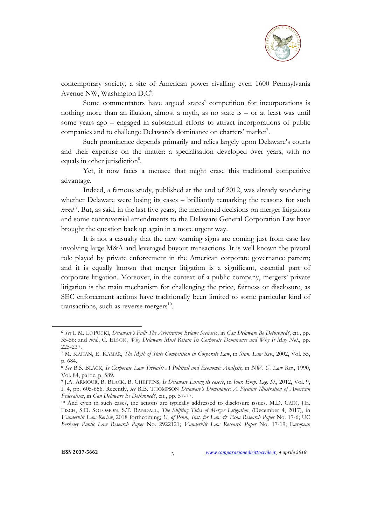

contemporary society, a site of American power rivalling even 1600 Pennsylvania Avenue NW, Washington D.C<sup>6</sup>.

Some commentators have argued states' competition for incorporations is nothing more than an illusion, almost a myth, as no state is – or at least was until some years ago – engaged in substantial efforts to attract incorporations of public companies and to challenge Delaware's dominance on charters' market<sup>7</sup>.

Such prominence depends primarily and relies largely upon Delaware's courts and their expertise on the matter: a specialisation developed over years, with no equals in other jurisdiction<sup>8</sup>.

Yet, it now faces a menace that might erase this traditional competitive advantage.

Indeed, a famous study, published at the end of 2012, was already wondering whether Delaware were losing its cases – brilliantly remarking the reasons for such trend<sup>9</sup>. But, as said, in the last five years, the mentioned decisions on merger litigations and some controversial amendments to the Delaware General Corporation Law have brought the question back up again in a more urgent way.

It is not a casualty that the new warning signs are coming just from case law involving large M&A and leveraged buyout transactions. It is well known the pivotal role played by private enforcement in the American corporate governance pattern; and it is equally known that merger litigation is a significant, essential part of corporate litigation. Moreover, in the context of a public company, mergers' private litigation is the main mechanism for challenging the price, fairness or disclosure, as SEC enforcement actions have traditionally been limited to some particular kind of transactions, such as reverse mergers $^{10}$ .

<sup>6</sup> *See* L.M. LOPUCKI, *Delaware's Fall: The Arbitration Bylaws Scenario*, in *Can Delaware Be Dethroned?*, cit., pp. 35-56; and *ibid*., C. ELSON, *Why Delaware Must Retain Its Corporate Dominance and Why It May Not*., pp. 225-237.

<sup>7</sup> M. KAHAN, E. KAMAR, *The Myth of State Competition in Corporate Law*, in *Stan. Law Rev.*, 2002, Vol. 55, p. 684.

<sup>8</sup> *See* B.S. BLACK, *Is Corporate Law Trivial?: A Political and Economic Analysis*, in *NW. U. Law Rev*., 1990, Vol. 84, partic. p. 589.

<sup>9</sup> J.A. ARMOUR, B. BLACK, B. CHEFFINS, *Is Delaware Losing its cases?*, in *Jour. Emp. Leg. St.*, 2012, Vol. 9, I. 4, pp. 605-656. Recently, *see* R.B. THOMPSON *Delaware's Dominance: A Peculiar Illustration of American Federalism*, in *Can Delaware Be Dethroned?*, cit., pp. 57-77.<br><sup>10</sup> And even in such cases, the actions are typically addressed to disclosure issues. M.D. CAIN, J.E.

FISCH, S.D. SOLOMON, S.T. RANDALL, *The Shifting Tides of Merger Litigation*, (December 4, 2017), in *Vanderbilt Law Review*, 2018 forthcoming; *U. of Penn., Inst. for Law & Econ Research Paper* No. 17-6; UC *Berkeley Public Law Research Paper* No. 2922121; *Vanderbilt Law Research Paper* No. 17-19; E*uropean*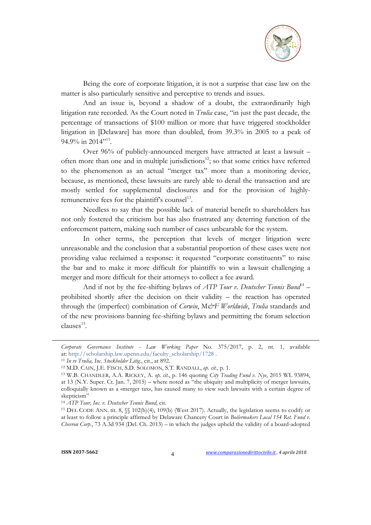

Being the core of corporate litigation, it is not a surprise that case law on the matter is also particularly sensitive and perceptive to trends and issues.

And an issue is, beyond a shadow of a doubt, the extraordinarily high litigation rate recorded. As the Court noted in *Trulia* case, "in just the past decade, the percentage of transactions of \$100 million or more that have triggered stockholder litigation in [Delaware] has more than doubled, from 39.3% in 2005 to a peak of 94.9% in 2014<sup>",11</sup>.

Over 96% of publicly-announced mergers have attracted at least a lawsuit – often more than one and in multiple jurisdictions<sup>12</sup>; so that some critics have referred to the phenomenon as an actual "merger tax" more than a monitoring device, because, as mentioned, these lawsuits are rarely able to derail the transaction and are mostly settled for supplemental disclosures and for the provision of highlyremunerative fees for the plaintiff's counsel $^{13}$ .

Needless to say that the possible lack of material benefit to shareholders has not only fostered the criticism but has also frustrated any deterring function of the enforcement pattern, making such number of cases unbearable for the system.

In other terms, the perception that levels of merger litigation were unreasonable and the conclusion that a substantial proportion of these cases were not providing value reclaimed a response: it requested "corporate constituents" to raise the bar and to make it more difficult for plaintiffs to win a lawsuit challenging a merger and more difficult for their attorneys to collect a fee award.

And if not by the fee-shifting bylaws of *ATP Tour v. Deutscher Tennis Bund*<sup>14</sup> – prohibited shortly after the decision on their validity – the reaction has operated through the (imperfect) combination of *Corwin*, M*&F Worldwide*, *Trulia* standards and of the new provisions banning fee-shifting bylaws and permitting the forum selection clauses<sup>15</sup>.

*Corporate Governance Institute - Law Working Paper* No. 375/2017, p. 2, nt. 1, available

<sup>&</sup>lt;sup>11</sup> In re Trulia, Inc. Stockholder Litig., cit., at 892. <sup>12</sup> M.D. CAIN, J.E. FISCH, S.D. SOLOMON, S.T. RANDALL, *op. cit.*, p. 1.

<sup>13</sup> W.B. CHANDLER, A.A. RICKEY, A. *op. cit.*, p. 146 quoting *City Trading Fund v. Nye*, 2015 WL 93894, at 13 (N.Y. Super. Ct. Jan. 7, 2015) – where noted as "the ubiquity and multiplicity of merger lawsuits, colloquially known as a «merger tax», has caused many to view such lawsuits with a certain degree of skepticism"

<sup>&</sup>lt;sup>14</sup> *ATP Tour, Inc. v. Deutscher Tennis Bund*, cit.<br><sup>15</sup> DEL CODE ANN. tit. 8, §§ 102(b)(4), 109(b) (West 2017). Actually, the legislation seems to codify or at least to follow a principle affirmed by Delaware Chancery Court in *Boilermakers Local 154 Ret. Fund v. Chevron Corp.*, 73 A.3d 934 (Del. Ch. 2013) – in which the judges upheld the validity of a board-adopted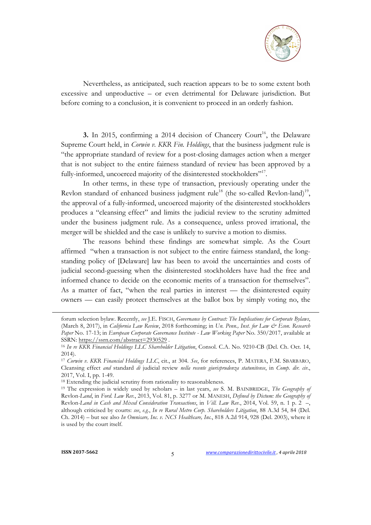

Nevertheless, as anticipated, such reaction appears to be to some extent both excessive and unproductive – or even detrimental for Delaware jurisdiction. But before coming to a conclusion, it is convenient to proceed in an orderly fashion.

**3.** In 2015, confirming a 2014 decision of Chancery Court<sup>16</sup>, the Delaware Supreme Court held, in *Corwin v. KKR Fin. Holdings*, that the business judgment rule is "the appropriate standard of review for a post-closing damages action when a merger that is not subject to the entire fairness standard of review has been approved by a fully-informed, uncoerced majority of the disinterested stockholders"<sup>17</sup>.

In other terms, in these type of transaction, previously operating under the Revlon standard of enhanced business judgment rule<sup>18</sup> (the so-called Revlon-land)<sup>19</sup>, the approval of a fully-informed, uncoerced majority of the disinterested stockholders produces a "cleansing effect" and limits the judicial review to the scrutiny admitted under the business judgment rule. As a consequence, unless proved irrational, the merger will be shielded and the case is unlikely to survive a motion to dismiss.

The reasons behind these findings are somewhat simple. As the Court affirmed "when a transaction is not subject to the entire fairness standard, the longstanding policy of [Delaware] law has been to avoid the uncertainties and costs of judicial second-guessing when the disinterested stockholders have had the free and informed chance to decide on the economic merits of a transaction for themselves". As a matter of fact, "when the real parties in interest — the disinterested equity owners — can easily protect themselves at the ballot box by simply voting no, the

forum selection bylaw. Recently, *see* J.E. FISCH, *Governance by Contract: The Implications for Corporate Bylaws*, (March 8, 2017), in *California Law Review*, 2018 forthcoming; in *Un. Penn., Inst. for Law & Econ. Research Paper* No. 17-13; in *European Corporate Governance Institute - Law Working Paper* No. 350/2017, available at SSRN: https://ssrn.com/abstract=2930529 .

<sup>16</sup> *In re KKR Financial Holdings LLC Shareholder Litigation*, Consol. C.A. No. 9210-CB (Del. Ch. Oct. 14, 2014).

<sup>17</sup> *Corwin v. KKR Financial Holdings LLC*, cit., at 304. *See*, for references, P. MATERA, F.M. SBARBARO, Cleansing effect *and* standard *di* judicial review *nella recente giurisprudenza statunitense*, in *Comp. dir. civ*., 2017, Vol. I, pp. 1-49.

<sup>&</sup>lt;sup>18</sup> Extending the judicial scrutiny from rationality to reasonableness.

<sup>19</sup> The expression is widely used by scholars – in last years, *see* S. M. BAINBRIDGE, *The Geography of*  Revlon*-Land*, in *Ford. Law Rev.*, 2013, Vol. 81, p. 3277 or M. MANESH, *Defined by Dictum: the Geography of*  Revlon*-Land in Cash and Mixed Consideration Transactions*, in *Vill. Law Rev.*, 2014, Vol. 59, n. 1 p. 2 –, although criticised by courts: *see*, *e.g.*, *In re Rural Metro Corp. Shareholders Litigation*, 88 A.3d 54, 84 (Del. Ch. 2014) – but see also *In Omnicare, Inc. v. NCS Healthcare, Inc.*, 818 A.2d 914, 928 (Del. 2003), where it is used by the court itself.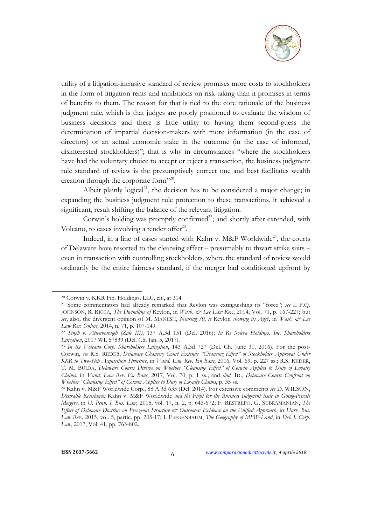

utility of a litigation-intrusive standard of review promises more costs to stockholders in the form of litigation rents and inhibitions on risk-taking than it promises in terms of benefits to them. The reason for that is tied to the core rationale of the business judgment rule, which is that judges are poorly positioned to evaluate the wisdom of business decisions and there is little utility to having them second-guess the determination of impartial decision-makers with more information (in the case of directors) or an actual economic stake in the outcome (in the case of informed, disinterested stockholders)"; that is why in circumstances "where the stockholders have had the voluntary choice to accept or reject a transaction, the business judgment rule standard of review is the presumptively correct one and best facilitates wealth creation through the corporate form"20.

Albeit plainly logical<sup>21</sup>, the decision has to be considered a major change; in expanding the business judgment rule protection to these transactions, it achieved a significant, result shifting the balance of the relevant litigation.

Corwin's holding was promptly confirmed<sup>22</sup>; and shortly after extended, with Volcano, to cases involving a tender offer $2<sup>23</sup>$ .

Indeed, in a line of cases started with Kahn v. M&F Worldwide<sup>24</sup>, the courts of Delaware have resorted to the cleansing effect – presumably to thwart strike suits – even in transaction with controlling stockholders, where the standard of review would ordinarily be the entire fairness standard, if the merger had conditioned upfront by

<sup>20</sup> Corwin v. KKR Fin. Holdings. LLC, cit., at 314. 21 Some commentators had already remarked that Revlon was extinguishing its "force"; *see* L P.Q. JOHNSON, R. RICCA, *The Dwindling of* Revlon, in *Wash. & Lee Law Rev.*, 2014, Vol. 71, p. 167-227; but *see*, also, the divergent opinion of M. MANESH, *Nearing 30, is* Revlon *showing its Age?*, in *Wash. & Lee Law Rev. Online*, 2014, n. 71, p. 107-149.

<sup>22</sup> *Singh v. Attenborough (Zale III)*, 137 A.3d 151 (Del. 2016); *In Re Solera Holdings, Inc. Shareholders* 

<sup>&</sup>lt;sup>23</sup> In Re Volcano Corp. Shareholders Litigation, 143 A.3d 727 (Del. Ch. June 30, 2016). For the post-Corwin, *see* R.S. REDER, *Delaware Chancery Court Extends "Cleansing Effect" of Stockholder Approval Under KKR to Two-Step Acquisition Structure*, in *Vand. Law Rev. En Banc*, 2016, Vol. 69, p. 227 ss.; R.S. REDER, T. M. BULBA, *Delaware Courts Diverge on Whether "Cleansing Effect" of Corwin Applies to Duty of Loyalty Claims*, in *Vand. Law Rev. En Banc*, 2017, Vol. 70, p. 1 ss.; and *ibid.* ID., *Delaware Courts Confront on Whether "Cleansing Effect" of Corwin Applies to Duty of Loyalty Claims*, p. 35 ss.

<sup>24</sup> Kahn v. M&F Worldwide Corp., 88 A.3d 635 (Del. 2014). For extensive comments *see* D. WILSON, *Desirable Resistance:* Kahn v. M&F Worldwide *and the Fight for the Business Judgment Rule in Going-Private Mergers*, in *U. Penn. J. Bus. Law*, 2015, vol. 17, n. 2, p. 643-672; F. RESTREPO, G. SUBRAMANIAN, *The Effect of Delaware Doctrine on Freezeout Structure & Outcomes: Evidence on the Unified Approach*, in *Harv. Bus. Law Rev.*, 2015, vol. 5, partic. pp. 205-17; I. FIEGENBAUM, *The Geography of MFW-Land*, in *Del. J. Corp. Law*, 2017, Vol. 41, pp. 763-802.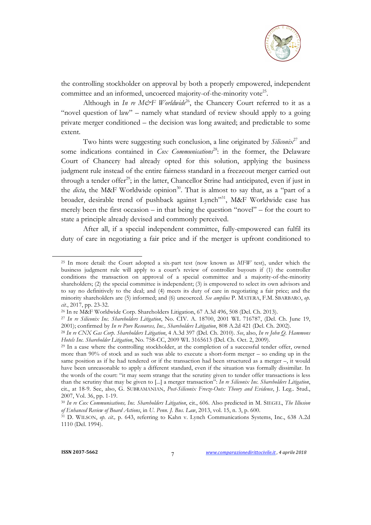

the controlling stockholder on approval by both a properly empowered, independent committee and an informed, uncoerced majority-of-the-minority vote<sup>25</sup>.

Although in *In re M&F Worldwide*<sup>26</sup>, the Chancery Court referred to it as a "novel question of law" – namely what standard of review should apply to a going private merger conditioned – the decision was long awaited; and predictable to some extent.

Two hints were suggesting such conclusion, a line originated by *Siliconix*<sup>27</sup> and some indications contained in *Cox Communications*<sup>28</sup>: in the former, the Delaware Court of Chancery had already opted for this solution, applying the business judgment rule instead of the entire fairness standard in a freezeout merger carried out through a tender offer<sup>29</sup>; in the latter, Chancellor Strine had anticipated, even if just in the *dicta*, the M&F Worldwide opinion<sup>30</sup>. That is almost to say that, as a "part of a broader, desirable trend of pushback against Lynch"<sup>31</sup>, M&F Worldwide case has merely been the first occasion – in that being the question "novel" – for the court to state a principle already devised and commonly perceived.

After all, if a special independent committee, fully-empowered can fulfil its duty of care in negotiating a fair price and if the merger is upfront conditioned to

<sup>25</sup> In more detail: the Court adopted a six-part test (now known as *MFW* test), under which the business judgment rule will apply to a court's review of controller buyouts if (1) the controller conditions the transaction on approval of a special committee and a majority-of-the-minority shareholders; (2) the special committee is independent; (3) is empowered to select its own advisors and to say no definitively to the deal; and (4) meets its duty of care in negotiating a fair price; and the minority shareholders are (5) informed; and (6) uncoerced. *See amplius* P. MATERA, F.M. SBARBARO, *op. cit.*, 2017, pp. 23-32.

<sup>26</sup> In re M&F Worldwide Corp. Shareholders Litigation, 67 A.3d 496, 508 (Del. Ch. 2013).

<sup>27</sup> *In re Siliconix Inc. Shareholders Litigation*, No. CIV. A. 18700, 2001 WL 716787, (Del. Ch. June 19,

<sup>&</sup>lt;sup>28</sup> In re CNX Gas Corp. Shareholders Litigation, 4 A.3d 397 (Del. Ch. 2010). See, also, In re John Q. Hammons<br>Hotels Inc. Shareholder Litigation, No. 758-CC, 2009 WL 3165613 (Del. Ch. Oct. 2, 2009).

<sup>&</sup>lt;sup>29</sup> In a case where the controlling stockholder, at the completion of a successful tender offer, owned more than 90% of stock and as such was able to execute a short-form merger – so ending up in the same position as if he had tendered or if the transaction had been structured as a merger –, it would have been unreasonable to apply a different standard, even if the situation was formally dissimilar. In the words of the court: "it may seem strange that the scrutiny given to tender offer transactions is less than the scrutiny that may be given to [...] a merger transaction": *In re Siliconix Inc. Shareholders Litigation*, cit., at 18-9. See, also, G. SUBRAMANIAN, *Post-Siliconix Freeze-Outs: Theory and Evidence*, J. Leg.. Stud., 2007, Vol. 36, pp. 1-19.

<sup>30</sup> *In re Cox Communications, Inc. Shareholders Litigation*, cit., 606. Also predicted in M. SIEGEL, *The Illusion of Enhanced Review of Board Actions*, in *U. Penn. J. Bus. Law*, 2013, vol. 15, n. 3, p. 600.<br><sup>31</sup> D. WILSON, *op. cit.*, p. 643, referring to Kahn v. Lynch Communications Systems, Inc., 638 A.2d

<sup>1110 (</sup>Del. 1994).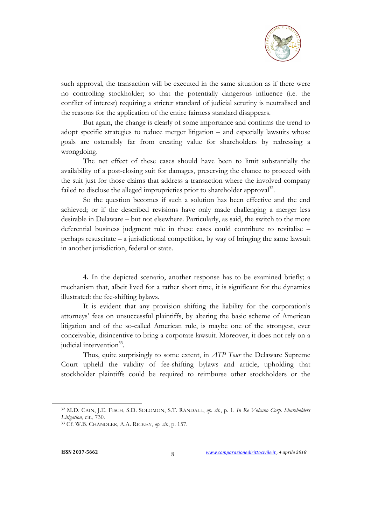

such approval, the transaction will be executed in the same situation as if there were no controlling stockholder; so that the potentially dangerous influence (i.e. the conflict of interest) requiring a stricter standard of judicial scrutiny is neutralised and the reasons for the application of the entire fairness standard disappears.

But again, the change is clearly of some importance and confirms the trend to adopt specific strategies to reduce merger litigation – and especially lawsuits whose goals are ostensibly far from creating value for shareholders by redressing a wrongdoing.

The net effect of these cases should have been to limit substantially the availability of a post-closing suit for damages, preserving the chance to proceed with the suit just for those claims that address a transaction where the involved company failed to disclose the alleged improprieties prior to shareholder approval<sup>32</sup>.

So the question becomes if such a solution has been effective and the end achieved; or if the described revisions have only made challenging a merger less desirable in Delaware – but not elsewhere. Particularly, as said, the switch to the more deferential business judgment rule in these cases could contribute to revitalise – perhaps resuscitate – a jurisdictional competition, by way of bringing the same lawsuit in another jurisdiction, federal or state.

**4.** In the depicted scenario, another response has to be examined briefly; a mechanism that, albeit lived for a rather short time, it is significant for the dynamics illustrated: the fee-shifting bylaws.

It is evident that any provision shifting the liability for the corporation's attorneys' fees on unsuccessful plaintiffs, by altering the basic scheme of American litigation and of the so-called American rule, is maybe one of the strongest, ever conceivable, disincentive to bring a corporate lawsuit. Moreover, it does not rely on a judicial intervention<sup>33</sup>.

Thus, quite surprisingly to some extent, in *ATP Tour* the Delaware Supreme Court upheld the validity of fee-shifting bylaws and article, upholding that stockholder plaintiffs could be required to reimburse other stockholders or the

<sup>32</sup> M.D. CAIN, J.E. FISCH, S.D. SOLOMON, S.T. RANDALL, *op. cit.*, p. 1. *In Re Volcano Corp. Shareholders Litigation*, cit., 730.

<sup>33</sup> Cf. W.B. CHANDLER, A.A. RICKEY, *op. cit.*, p. 157.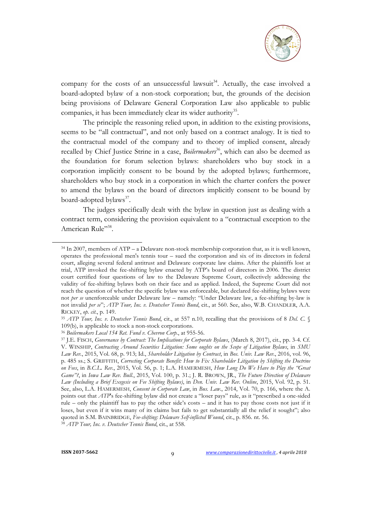

company for the costs of an unsuccessful lawsuit<sup>34</sup>. Actually, the case involved a board-adopted bylaw of a non-stock corporation; but, the grounds of the decision being provisions of Delaware General Corporation Law also applicable to public companies, it has been immediately clear its wider authority<sup>35</sup>.

The principle the reasoning relied upon, in addition to the existing provisions, seems to be "all contractual", and not only based on a contract analogy. It is tied to the contractual model of the company and to theory of implied consent, already recalled by Chief Justice Strine in a case, *Boilermakers*<sup>36</sup>, which can also be deemed as the foundation for forum selection bylaws: shareholders who buy stock in a corporation implicitly consent to be bound by the adopted bylaws; furthermore, shareholders who buy stock in a corporation in which the charter confers the power to amend the bylaws on the board of directors implicitly consent to be bound by board-adopted bylaws<sup>37</sup>.

The judges specifically dealt with the bylaw in question just as dealing with a contract term, considering the provision equivalent to a "contractual exception to the American Rule"<sup>38</sup>.

<sup>38</sup> *ATP Tour, Inc. v. Deutscher Tennis Bund*, cit., at 558.

 $34$  In 2007, members of ATP – a Delaware non-stock membership corporation that, as it is well known, operates the professional men's tennis tour – sued the corporation and six of its directors in federal court, alleging several federal antitrust and Delaware corporate law claims. After the plaintiffs lost at trial, ATP invoked the fee-shifting bylaw enacted by ATP's board of directors in 2006. The district court certified four questions of law to the Delaware Supreme Court, collectively addressing the validity of fee-shifting bylaws both on their face and as applied. Indeed, the Supreme Court did not reach the question of whether the specific bylaw was enforceable, but declared fee-shifting bylaws were not *per se* unenforceable under Delaware law – namely: "Under Delaware law, a fee-shifting by-law is not invalid *per se*"; *ATP Tour, Inc. v. Deutscher Tennis Bund*, cit., at 560. See, also, W.B. CHANDLER, A.A. RICKEY, *op. cit.*, p. 149.

<sup>35</sup> *ATP Tour, Inc. v. Deutscher Tennis Bund*, cit., at 557 n.10, recalling that the provisions of 8 *Del. C.* § 109(b), is applicable to stock a non-stock corporations.

<sup>36</sup> *Boilermakers Local 154 Ret. Fund v. Chevron Corp.*, at 955-56. 37 J.E. FISCH, *Governance by Contract: The Implications for Corporate Bylaws*, (March 8, 2017), cit., pp. 3-4. Cf. V. WINSHIP, *Contracting Around Securities Litigation: Some oughts on the Scope of Litigation Bylaws*, in *SMU Law Rev.*, 2015, Vol. 68, p. 913; Id., *Shareholder Litigation by Contract*, in *Bos. Univ. Law Rev.*, 2016, vol. 96, p. 485 ss.; S. GRIFFITH, *Correcting Corporate Benefit: How to Fix Shareholder Litigation by Shifting the Doctrine on Fees*, in *B.C.L. Rev.*, 2015, Vol. 56, p. 1; L.A. HAMERMESH, *How Long Do We Have to Play the "Great Game"?*, in *Iowa Law Rev. Bull.*, 2015, Vol. 100, p. 31.; J. R. BROWN, JR., *The Future Direction of Delaware Law (Including a Brief Exegesis on Fee Shifting Bylaws)*, in *Den. Univ. Law Rev. Online*, 2015, Vol. 92, p. 51. See, also, L.A. HAMERMESH, *Consent in Corporate Law*, in *Bus. Law.*, 2014, Vol. 70, p. 166, where the A. points out that *ATP*'s fee-shifting bylaw did not create a "loser pays" rule, as it "prescribed a one-sided rule – only the plaintiff has to pay the other side's costs – and it has to pay those costs not just if it loses, but even if it wins many of its claims but fails to get substantially all the relief it sought"; also quoted in S.M. BAINBRIDGE, *Fee-shifting: Delaware Self-inflicted Wound*, cit., p. 856. nt. 56.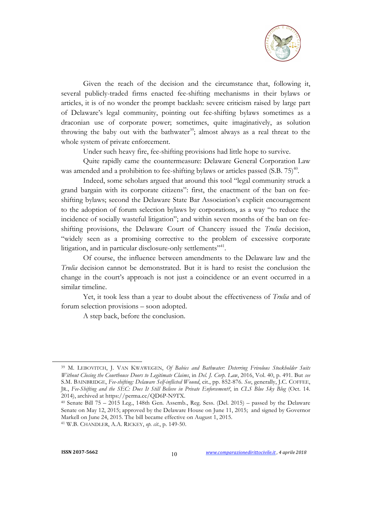

Given the reach of the decision and the circumstance that, following it, several publicly-traded firms enacted fee-shifting mechanisms in their bylaws or articles, it is of no wonder the prompt backlash: severe criticism raised by large part of Delaware's legal community, pointing out fee-shifting bylaws sometimes as a draconian use of corporate power; sometimes, quite imaginatively, as solution throwing the baby out with the bathwater<sup>39</sup>; almost always as a real threat to the whole system of private enforcement.

Under such heavy fire, fee-shifting provisions had little hope to survive.

Quite rapidly came the countermeasure: Delaware General Corporation Law was amended and a prohibition to fee-shifting bylaws or articles passed  $(S.B. 75)^{40}$ .

Indeed, some scholars argued that around this tool "legal community struck a grand bargain with its corporate citizens": first, the enactment of the ban on feeshifting bylaws; second the Delaware State Bar Association's explicit encouragement to the adoption of forum selection bylaws by corporations, as a way "to reduce the incidence of socially wasteful litigation"; and within seven months of the ban on feeshifting provisions, the Delaware Court of Chancery issued the *Trulia* decision, "widely seen as a promising corrective to the problem of excessive corporate litigation, and in particular disclosure-only settlements<sup>"41</sup>.

Of course, the influence between amendments to the Delaware law and the *Trulia* decision cannot be demonstrated. But it is hard to resist the conclusion the change in the court's approach is not just a coincidence or an event occurred in a similar timeline.

Yet, it took less than a year to doubt about the effectiveness of *Trulia* and of forum selection provisions – soon adopted.

A step back, before the conclusion.

<sup>39</sup> M. LEBOVITCH, J. VAN KWAWEGEN, *Of Babies and Bathwater: Deterring Frivolous Stockholder Suits Without Closing the Courthouse Doors to Legitimate Claims*, in *Del. J. Corp. Law*, 2016, Vol. 40, p. 491. But *see* S.M. BAINBRIDGE, *Fee-shifting: Delaware Self-inflicted Wound*, cit., pp. 852-876. *See*, generally, J.C. COFFEE, JR., *Fee-Shifting and the SEC: Does It Still Believe in Private Enforcement?*, in *CLS Blue Sky Blog* (Oct. 14. 2014), archived at https://perma.cc/QD6P-N9TX.

<sup>40</sup> Senate Bill 75 – 2015 Leg., 148th Gen. Assemb., Reg. Sess. (Del. 2015) – passed by the Delaware Senate on May 12, 2015; approved by the Delaware House on June 11, 2015; and signed by Governor Markell on June 24, 2015. The bill became effective on August 1, 2015. 41 W.B. CHANDLER, A.A. RICKEY, *op. cit.*, p. 149-50.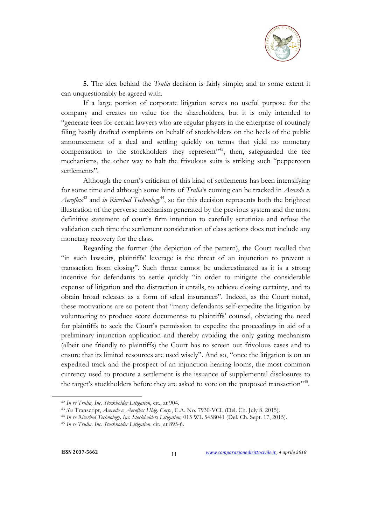

**5.** The idea behind the *Trulia* decision is fairly simple; and to some extent it can unquestionably be agreed with.

If a large portion of corporate litigation serves no useful purpose for the company and creates no value for the shareholders, but it is only intended to "generate fees for certain lawyers who are regular players in the enterprise of routinely filing hastily drafted complaints on behalf of stockholders on the heels of the public announcement of a deal and settling quickly on terms that yield no monetary compensation to the stockholders they represent"<sup>42</sup>, then, safeguarded the fee mechanisms, the other way to halt the frivolous suits is striking such "peppercorn settlements".

Although the court's criticism of this kind of settlements has been intensifying for some time and although some hints of *Trulia*'s coming can be tracked in *Acevedo v. Aeroflex*<sup>43</sup> and *in Riverbed Technology*<sup>44</sup>, so far this decision represents both the brightest illustration of the perverse mechanism generated by the previous system and the most definitive statement of court's firm intention to carefully scrutinize and refuse the validation each time the settlement consideration of class actions does not include any monetary recovery for the class.

Regarding the former (the depiction of the pattern), the Court recalled that "in such lawsuits, plaintiffs' leverage is the threat of an injunction to prevent a transaction from closing". Such threat cannot be underestimated as it is a strong incentive for defendants to settle quickly "in order to mitigate the considerable expense of litigation and the distraction it entails, to achieve closing certainty, and to obtain broad releases as a form of «deal insurance»". Indeed, as the Court noted, these motivations are so potent that "many defendants self-expedite the litigation by volunteering to produce «core documents» to plaintiffs' counsel, obviating the need for plaintiffs to seek the Court's permission to expedite the proceedings in aid of a preliminary injunction application and thereby avoiding the only gating mechanism (albeit one friendly to plaintiffs) the Court has to screen out frivolous cases and to ensure that its limited resources are used wisely". And so, "once the litigation is on an expedited track and the prospect of an injunction hearing looms, the most common currency used to procure a settlement is the issuance of supplemental disclosures to the target's stockholders before they are asked to vote on the proposed transaction"<sup>45</sup>.

<sup>42</sup> *In re Trulia, Inc. Stockholder Litigation*, cit., at 904.

<sup>43</sup> *See* Transcript, *Acevedo v. Aeroflex Hldg. Corp.*, C.A. No. 7930-VCL (Del. Ch. July 8, 2015).

<sup>44</sup> *In re Riverbed Technology, Inc. Stockholders Litigation,* 015 WL 5458041 (Del. Ch. Sept. 17, 2015). 45 *In re Trulia, Inc. Stockholder Litigation*, cit., at 895-6.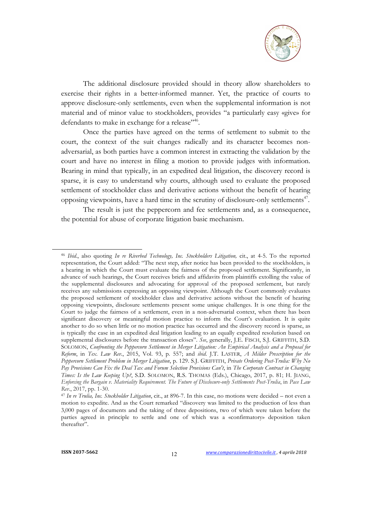

The additional disclosure provided should in theory allow shareholders to exercise their rights in a better-informed manner. Yet, the practice of courts to approve disclosure-only settlements, even when the supplemental information is not material and of minor value to stockholders, provides "a particularly easy «give» for defendants to make in exchange for a release"<sup>46</sup>.

Once the parties have agreed on the terms of settlement to submit to the court, the context of the suit changes radically and its character becomes nonadversarial, as both parties have a common interest in extracting the validation by the court and have no interest in filing a motion to provide judges with information. Bearing in mind that typically, in an expedited deal litigation, the discovery record is sparse, it is easy to understand why courts, although used to evaluate the proposed settlement of stockholder class and derivative actions without the benefit of hearing opposing viewpoints, have a hard time in the scrutiny of disclosure-only settlements $47$ .

The result is just the peppercorn and fee settlements and, as a consequence, the potential for abuse of corporate litigation basic mechanism.

<sup>46</sup> *Ibid*., also quoting *In re Riverbed Technology, Inc. Stockholders Litigation,* cit., at 4-5. To the reported representation, the Court added: "The next step, after notice has been provided to the stockholders, is a hearing in which the Court must evaluate the fairness of the proposed settlement. Significantly, in advance of such hearings, the Court receives briefs and affidavits from plaintiffs extolling the value of the supplemental disclosures and advocating for approval of the proposed settlement, but rarely receives any submissions expressing an opposing viewpoint. Although the Court commonly evaluates the proposed settlement of stockholder class and derivative actions without the benefit of hearing opposing viewpoints, disclosure settlements present some unique challenges. It is one thing for the Court to judge the fairness of a settlement, even in a non-adversarial context, when there has been significant discovery or meaningful motion practice to inform the Court's evaluation. It is quite another to do so when little or no motion practice has occurred and the discovery record is sparse, as is typically the case in an expedited deal litigation leading to an equally expedited resolution based on supplemental disclosures before the transaction closes". *See*, generally, J.E. FISCH, S.J. GRIFFITH, S.D. SOLOMON, *Confronting the Peppercorn Settlement in Merger Litigation: An Empirical Analysis and a Proposal for Reform*, in *Tex. Law Rev.*, 2015, Vol. 93, p. 557; and *ibid*. J.T. LASTER, *A Milder Prescription for the Peppercorn Settlement Problem in Merger Litigation*, p. 129. S.J. GRIFFITH, *Private Ordering Post-Trulia: Why No Pay Provisions Can Fix the Deal Tax and Forum Selection Provisions Can't*, in *The Corporate Contract in Changing Times: Is the Law Keeping Up?*, S.D. SOLOMON, R.S. THOMAS (Eds.), Chicago, 2017, p. 81; H. JIANG, *Enforcing the Bargain v. Materiality Requirement. The Future of Disclosure-only Settlements Post-Trulia*, in *Pace Law Rev*., 2017, pp. 1-30. 47 *In re Trulia, Inc. Stockholder Litigation*, cit., at 896-7. In this case, no motions were decided – not even a

motion to expedite. And as the Court remarked "discovery was limited to the production of less than 3,000 pages of documents and the taking of three depositions, two of which were taken before the parties agreed in principle to settle and one of which was a «confirmatory» deposition taken thereafter".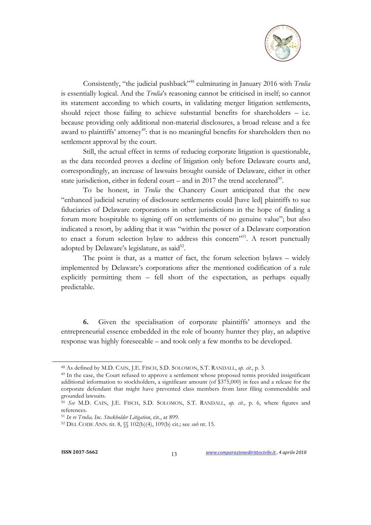

Consistently, "the judicial pushback"48 culminating in January 2016 with *Trulia* is essentially logical. And the *Trulia*'s reasoning cannot be criticised in itself; so cannot its statement according to which courts, in validating merger litigation settlements, should reject those failing to achieve substantial benefits for shareholders – i.e. because providing only additional non-material disclosures, a broad release and a fee award to plaintiffs' attorney<sup>49</sup>: that is no meaningful benefits for shareholders then no settlement approval by the court.

Still, the actual effect in terms of reducing corporate litigation is questionable, as the data recorded proves a decline of litigation only before Delaware courts and, correspondingly, an increase of lawsuits brought outside of Delaware, either in other state jurisdiction, either in federal court – and in 2017 the trend accelerated<sup>50</sup>.

To be honest, in *Trulia* the Chancery Court anticipated that the new "enhanced judicial scrutiny of disclosure settlements could [have led] plaintiffs to sue fiduciaries of Delaware corporations in other jurisdictions in the hope of finding a forum more hospitable to signing off on settlements of no genuine value"; but also indicated a resort, by adding that it was "within the power of a Delaware corporation to enact a forum selection bylaw to address this concern"<sup>51</sup>. A resort punctually adopted by Delaware's legislature, as said<sup>52</sup>.

The point is that, as a matter of fact, the forum selection bylaws – widely implemented by Delaware's corporations after the mentioned codification of a rule explicitly permitting them – fell short of the expectation, as perhaps equally predictable.

**6.** Given the specialisation of corporate plaintiffs' attorneys and the entrepreneurial essence embedded in the role of bounty hunter they play, an adaptive response was highly foreseeable – and took only a few months to be developed.

<sup>48</sup> As defined by M.D. CAIN, J.E. FISCH, S.D. SOLOMON, S.T. RANDALL, *op. cit.*, p. 3.

<sup>49</sup> In the case, the Court refused to approve a settlement whose proposed terms provided insignificant additional information to stockholders, a significant amount (of \$375,000) in fees and a release for the corporate defendant that might have prevented class members from later filing commendable and grounded lawsuits.

<sup>50</sup> *See* M.D. CAIN, J.E. FISCH, S.D. SOLOMON, S.T. RANDALL, *op. cit.*, p. 6, where figures and references.

<sup>51</sup> *In re Trulia, Inc. Stockholder Litigation*, cit., at 899.

<sup>52</sup> DEL CODE ANN. tit. 8, §§ 102(b)(4), 109(b) cit.; see *sub* nt. 15.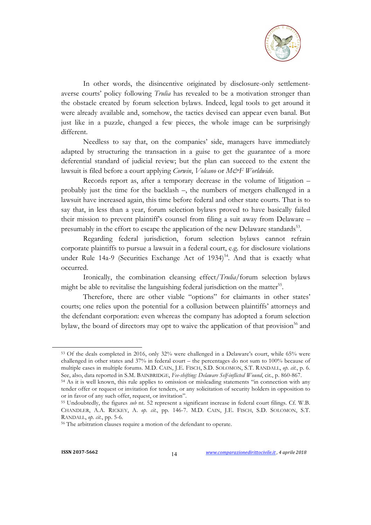

In other words, the disincentive originated by disclosure-only settlementaverse courts' policy following *Trulia* has revealed to be a motivation stronger than the obstacle created by forum selection bylaws. Indeed, legal tools to get around it were already available and, somehow, the tactics devised can appear even banal. But just like in a puzzle, changed a few pieces, the whole image can be surprisingly different.

Needless to say that, on the companies' side, managers have immediately adapted by structuring the transaction in a guise to get the guarantee of a more deferential standard of judicial review; but the plan can succeed to the extent the lawsuit is filed before a court applying *Corwin*, *Volcano* or *M&F Worldwide*.

Records report as, after a temporary decrease in the volume of litigation – probably just the time for the backlash –, the numbers of mergers challenged in a lawsuit have increased again, this time before federal and other state courts. That is to say that, in less than a year, forum selection bylaws proved to have basically failed their mission to prevent plaintiff's counsel from filing a suit away from Delaware – presumably in the effort to escape the application of the new Delaware standards<sup>53</sup>.

Regarding federal jurisdiction, forum selection bylaws cannot refrain corporate plaintiffs to pursue a lawsuit in a federal court, e.g. for disclosure violations under Rule 14a-9 (Securities Exchange Act of 1934)<sup>54</sup>. And that is exactly what occurred.

Ironically, the combination cleansing effect/*Trulia*/forum selection bylaws might be able to revitalise the languishing federal jurisdiction on the matter<sup>55</sup>.

Therefore, there are other viable "options" for claimants in other states' courts; one relies upon the potential for a collusion between plaintiffs' attorneys and the defendant corporation: even whereas the company has adopted a forum selection bylaw, the board of directors may opt to waive the application of that provision<sup>56</sup> and

<sup>53</sup> Of the deals completed in 2016, only 32% were challenged in a Delaware's court, while 65% were challenged in other states and 37% in federal court – the percentages do not sum to 100% because of multiple cases in multiple forums. M.D. CAIN, J.E. FISCH, S.D. SOLOMON, S.T. RANDALL, *op. cit.*, p. 6. See, also, data reported in S.M. BAINBRIDGE, *Fee-shifting: Delaware Self-inflicted Wound*, cit., p. 860-867.

<sup>54</sup> As it is well known, this rule applies to omission or misleading statements "in connection with any tender offer or request or invitation for tenders, or any solicitation of security holders in opposition to or in favor of any such offer, request, or invitation".

<sup>55</sup> Undoubtedly, the figures *sub* nt. 52 represent a significant increase in federal court filings. Cf. W.B. CHANDLER, A.A. RICKEY, A. *op. cit.*, pp. 146-7. M.D. CAIN, J.E. FISCH, S.D. SOLOMON, S.T. RANDALL, *op. cit.*, pp. 5-6.

<sup>56</sup> The arbitration clauses require a motion of the defendant to operate.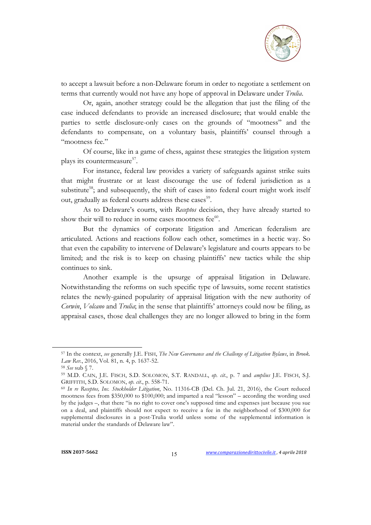

to accept a lawsuit before a non-Delaware forum in order to negotiate a settlement on terms that currently would not have any hope of approval in Delaware under *Trulia*.

Or, again, another strategy could be the allegation that just the filing of the case induced defendants to provide an increased disclosure; that would enable the parties to settle disclosure-only cases on the grounds of "mootness" and the defendants to compensate, on a voluntary basis, plaintiffs' counsel through a "mootness fee."

Of course, like in a game of chess, against these strategies the litigation system plays its countermeasure<sup>57</sup>.

For instance, federal law provides a variety of safeguards against strike suits that might frustrate or at least discourage the use of federal jurisdiction as a substitute<sup>58</sup>; and subsequently, the shift of cases into federal court might work itself out, gradually as federal courts address these cases<sup>59</sup>.

As to Delaware's courts, with *Receptos* decision, they have already started to show their will to reduce in some cases mootness fee $60$ .

But the dynamics of corporate litigation and American federalism are articulated. Actions and reactions follow each other, sometimes in a hectic way. So that even the capability to intervene of Delaware's legislature and courts appears to be limited; and the risk is to keep on chasing plaintiffs' new tactics while the ship continues to sink.

Another example is the upsurge of appraisal litigation in Delaware. Notwithstanding the reforms on such specific type of lawsuits, some recent statistics relates the newly-gained popularity of appraisal litigation with the new authority of *Corwin*, *Volcano* and *Trulia*; in the sense that plaintiffs' attorneys could now be filing, as appraisal cases, those deal challenges they are no longer allowed to bring in the form

<sup>57</sup> In the context, *see* generally J.E. FISH, *The New Governance and the Challenge of Litigation Bylaws*, in *Brook. Law Rev.*, 2016, Vol. 81, n. 4, p. 1637-52.

<sup>58</sup> *See* sub § 7.

<sup>59</sup> M.D. CAIN, J.E. FISCH, S.D. SOLOMON, S.T. RANDALL, *op. cit.*, p. 7 and *amplius* J.E. FISCH, S.J. GRIFFITH, S.D. SOLOMON, *op. cit.*, p. 558-71.

<sup>60</sup> *In re Receptos, Inc. Stockholder Litigation*, No. 11316-CB (Del. Ch. Jul. 21, 2016), the Court reduced mootness fees from \$350,000 to \$100,000; and imparted a real "lesson" – according the wording used by the judges –, that there "is no right to cover one's supposed time and expenses just because you sue on a deal, and plaintiffs should not expect to receive a fee in the neighborhood of \$300,000 for supplemental disclosures in a post-Trulia world unless some of the supplemental information is material under the standards of Delaware law".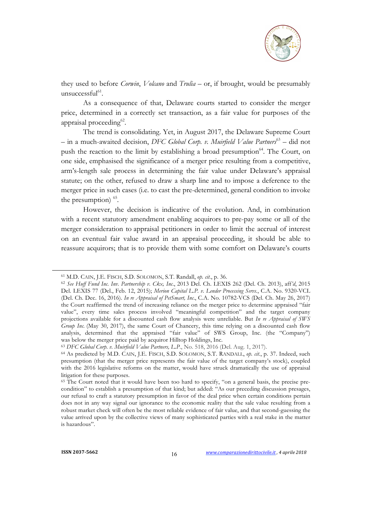

they used to before *Corwin*, *Volcano* and *Trulia* – or, if brought, would be presumably unsuccessful $61$ .

As a consequence of that, Delaware courts started to consider the merger price, determined in a correctly set transaction, as a fair value for purposes of the appraisal proceeding<sup>62</sup>.

The trend is consolidating. Yet, in August 2017, the Delaware Supreme Court – in a much-awaited decision, *DFC Global Corp. v. Muirfield Value Partners*<sup>63</sup> – did not push the reaction to the limit by establishing a broad presumption<sup>64</sup>. The Court, on one side, emphasised the significance of a merger price resulting from a competitive, arm's-length sale process in determining the fair value under Delaware's appraisal statute; on the other, refused to draw a sharp line and to impose a deference to the merger price in such cases (i.e. to cast the pre-determined, general condition to invoke the presumption)  $65$ .

However, the decision is indicative of the evolution. And, in combination with a recent statutory amendment enabling acquirors to pre-pay some or all of the merger consideration to appraisal petitioners in order to limit the accrual of interest on an eventual fair value award in an appraisal proceeding, it should be able to reassure acquirors; that is to provide them with some comfort on Delaware's courts

<sup>61</sup> M.D. CAIN, J.E. FISCH, S.D. SOLOMON, S.T. Randall, *op. cit.*, p. 36.

<sup>62</sup> *See Huff Fund Inc. Inv. Partnership v. Ckx, Inc*., 2013 Del. Ch. LEXIS 262 (Del. Ch. 2013), aff*'d*, 2015 Del. LEXIS 77 (Del., Feb. 12, 2015); *Merion Capital L.P. v. Lender Processing Servs.*, C.A. No. 9320-VCL (Del. Ch. Dec. 16, 2016). *In re Appraisal of PetSmart, Inc*., C.A. No. 10782-VCS (Del. Ch. May 26, 2017) the Court reaffirmed the trend of increasing reliance on the merger price to determine appraised "fair value", every time sales process involved "meaningful competition" and the target company projections available for a discounted cash flow analysis were unreliable. But *In re Appraisal of SWS Group Inc.* (May 30, 2017), the same Court of Chancery, this time relying on a discounted cash flow analysis, determined that the appraised "fair value" of SWS Group, Inc. (the "Company") was below the merger price paid by acquiror Hilltop Holdings, Inc.

<sup>63</sup> *DFC Global Corp. v. Muirfield Value Partners, L.P*., No. 518, 2016 (Del. Aug. 1, 2017).

<sup>64</sup> As predicted by M.D. CAIN, J.E. FISCH, S.D. SOLOMON, S.T. RANDALL, *op. cit.*, p. 37. Indeed, such presumption (that the merger price represents the fair value of the target company's stock), coupled with the 2016 legislative reforms on the matter, would have struck dramatically the use of appraisal litigation for these purposes.

<sup>&</sup>lt;sup>65</sup> The Court noted that it would have been too hard to specify, "on a general basis, the precise precondition" to establish a presumption of that kind; but added: "As our preceding discussion presages, our refusal to craft a statutory presumption in favor of the deal price when certain conditions pertain does not in any way signal our ignorance to the economic reality that the sale value resulting from a robust market check will often be the most reliable evidence of fair value, and that second-guessing the value arrived upon by the collective views of many sophisticated parties with a real stake in the matter is hazardous".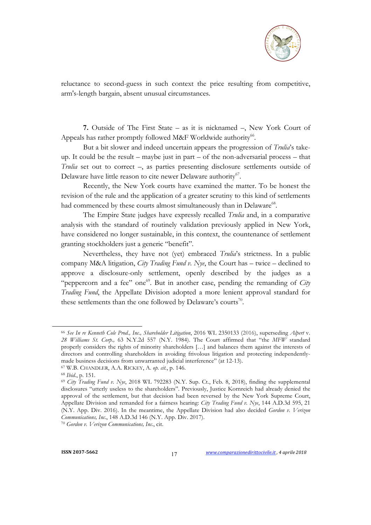

reluctance to second-guess in such context the price resulting from competitive, arm's-length bargain, absent unusual circumstances.

**7.** Outside of The First State – as it is nicknamed –, New York Court of Appeals has rather promptly followed M&F Worldwide authority<sup>66</sup>.

But a bit slower and indeed uncertain appears the progression of *Trulia*'s takeup. It could be the result – maybe just in part – of the non-adversarial process – that *Trulia* set out to correct –, as parties presenting disclosure settlements outside of Delaware have little reason to cite newer Delaware authority<sup>67</sup>.

Recently, the New York courts have examined the matter. To be honest the revision of the rule and the application of a greater scrutiny to this kind of settlements had commenced by these courts almost simultaneously than in Delaware<sup>68</sup>.

The Empire State judges have expressly recalled *Trulia* and, in a comparative analysis with the standard of routinely validation previously applied in New York, have considered no longer sustainable, in this context, the countenance of settlement granting stockholders just a generic "benefit".

Nevertheless, they have not (yet) embraced *Trulia*'s strictness. In a public company M&A litigation, *City Trading Fund v. Nye*, the Court has – twice – declined to approve a disclosure-only settlement, openly described by the judges as a "peppercorn and a fee" one<sup>69</sup>. But in another case, pending the remanding of *City Trading Fund*, the Appellate Division adopted a more lenient approval standard for these settlements than the one followed by Delaware's courts<sup>70</sup>.

<sup>66</sup> *See In re Kenneth Cole Prod., Inc., Shareholder Litigation*, 2016 WL 2350133 (2016), superseding *Alpert* v. *28 Williams St. Corp.,* 63 N.Y.2d 557 (N.Y. 1984). The Court affirmed that "the *MFW* standard properly considers the rights of minority shareholders […] and balances them against the interests of directors and controlling shareholders in avoiding frivolous litigation and protecting independentlymade business decisions from unwarranted judicial interference" (at 12-13). 67 W.B. CHANDLER, A.A. RICKEY, A. *op. cit.*, p. 146.

<sup>68</sup> *Ibid*., p. 151. 69 *City Trading Fund v. Nye*, 2018 WL 792283 (N.Y. Sup. Ct., Feb. 8, 2018), finding the supplemental disclosures "utterly useless to the shareholders". Previously, Justice Kornreich had already denied the approval of the settlement, but that decision had been reversed by the New York Supreme Court, Appellate Division and remanded for a fairness hearing: *City Trading Fund v. Nye*, 144 A.D.3d 595, 21 (N.Y. App. Div. 2016). In the meantime, the Appellate Division had also decided *Gordon v. Verizon Communications, Inc*., 148 A.D.3d 146 (N.Y. App. Div. 2017).

<sup>70</sup> *Gordon v. Verizon Communications, Inc*., cit.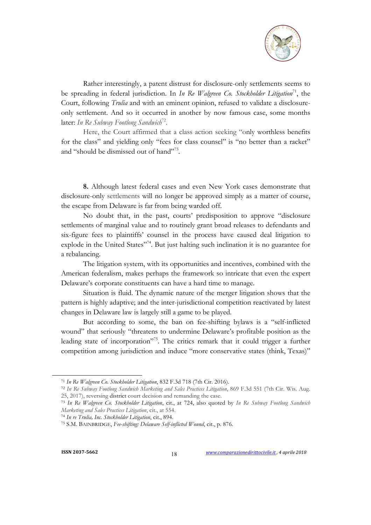

Rather interestingly, a patent distrust for disclosure-only settlements seems to be spreading in federal jurisdiction. In *In Re Walgreen Co. Stockholder Litigation*<sup>71</sup>, the Court, following *Trulia* and with an eminent opinion, refused to validate a disclosureonly settlement. And so it occurred in another by now famous case, some months later: In Re Subway Footlong Sandwich<sup>72</sup>.

Here, the Court affirmed that a class action seeking "only worthless benefits for the class" and yielding only "fees for class counsel" is "no better than a racket" and "should be dismissed out of hand"73.

**8.** Although latest federal cases and even New York cases demonstrate that disclosure-only settlements will no longer be approved simply as a matter of course, the escape from Delaware is far from being warded off.

No doubt that, in the past, courts' predisposition to approve "disclosure settlements of marginal value and to routinely grant broad releases to defendants and six-figure fees to plaintiffs' counsel in the process have caused deal litigation to explode in the United States"<sup>74</sup>. But just halting such inclination it is no guarantee for a rebalancing.

The litigation system, with its opportunities and incentives, combined with the American federalism, makes perhaps the framework so intricate that even the expert Delaware's corporate constituents can have a hard time to manage.

Situation is fluid. The dynamic nature of the merger litigation shows that the pattern is highly adaptive; and the inter-jurisdictional competition reactivated by latest changes in Delaware law is largely still a game to be played.

But according to some, the ban on fee-shifting bylaws is a "self-inflicted wound" that seriously "threatens to undermine Delaware's profitable position as the leading state of incorporation"75. The critics remark that it could trigger a further competition among jurisdiction and induce "more conservative states (think, Texas)"

<sup>71</sup> *In Re Walgreen Co. Stockholder Litigation*, 832 F.3d 718 (7th Cir. 2016).

<sup>72</sup> *In Re Subway Footlong Sandwich Marketing and Sales Practices Litigation*, 869 F.3d 551 (7th Cir. Wis. Aug. 25, 2017), reversing district court decision and remanding the case.

<sup>73</sup> *In Re Walgreen Co. Stockholder Litigation*, cit., at 724, also quoted by *In Re Subway Footlong Sandwich Marketing and Sales Practices Litigation*, cit., at 554.

<sup>74</sup> *In re Trulia, Inc. Stockholder Litigation*, cit., 894.

<sup>75</sup> S.M. BAINBRIDGE, *Fee-shifting: Delaware Self-inflicted Wound*, cit., p. 876.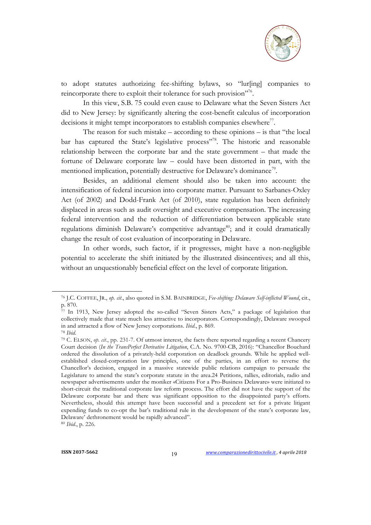

to adopt statutes authorizing fee-shifting bylaws, so "lur[ing] companies to reincorporate there to exploit their tolerance for such provision"<sup>76</sup>.

In this view, S.B. 75 could even cause to Delaware what the Seven Sisters Act did to New Jersey: by significantly altering the cost-benefit calculus of incorporation decisions it might tempt incorporators to establish companies elsewhere<sup>77</sup>.

The reason for such mistake – according to these opinions – is that "the local bar has captured the State's legislative process"<sup>78</sup>. The historic and reasonable relationship between the corporate bar and the state government – that made the fortune of Delaware corporate law – could have been distorted in part, with the mentioned implication, potentially destructive for Delaware's dominance<sup>79</sup>.

Besides, an additional element should also be taken into account: the intensification of federal incursion into corporate matter. Pursuant to Sarbanes-Oxley Act (of 2002) and Dodd-Frank Act (of 2010), state regulation has been definitely displaced in areas such as audit oversight and executive compensation. The increasing federal intervention and the reduction of differentiation between applicable state regulations diminish Delaware's competitive advantage<sup>80</sup>; and it could dramatically change the result of cost evaluation of incorporating in Delaware.

In other words, such factor, if it progresses, might have a non-negligible potential to accelerate the shift initiated by the illustrated disincentives; and all this, without an unquestionably beneficial effect on the level of corporate litigation.

 $\overline{a}$ 

<sup>80</sup> *Ibid*., p. 226.

<sup>76</sup> J.C. COFFEE, JR., *op. cit*., also quoted in S.M. BAINBRIDGE, *Fee-shifting: Delaware Self-inflicted Wound*, cit., p. 870.

<sup>&</sup>lt;sup>77</sup> In 1913, New Jersey adopted the so-called "Seven Sisters Acts," a package of legislation that collectively made that state much less attractive to incorporators. Correspondingly, Delaware swooped in and attracted a flow of New Jersey corporations. *Ibid*., p. 869.

<sup>78</sup> *Ibid*.

<sup>79</sup> C. ELSON, *op. cit*., pp. 231-7. Of utmost interest, the facts there reported regarding a recent Chancery Court decision (*In the TransPerfect Derivative Litigation*, C.A. No. 9700-CB, 2016): "Chancellor Bouchard ordered the dissolution of a privately-held corporation on deadlock grounds. While he applied wellestablished closed-corporation law principles, one of the parties, in an effort to reverse the Chancellor's decision, engaged in a massive statewide public relations campaign to persuade the Legislature to amend the state's corporate statute in the area.24 Petitions, rallies, editorials, radio and newspaper advertisements under the moniker «Citizens For a Pro-Business Delaware» were initiated to short-circuit the traditional corporate law reform process. The effort did not have the support of the Delaware corporate bar and there was significant opposition to the disappointed party's efforts. Nevertheless, should this attempt have been successful and a precedent set for a private litigant expending funds to co-opt the bar's traditional rule in the development of the state's corporate law, Delaware' dethronement would be rapidly advanced".